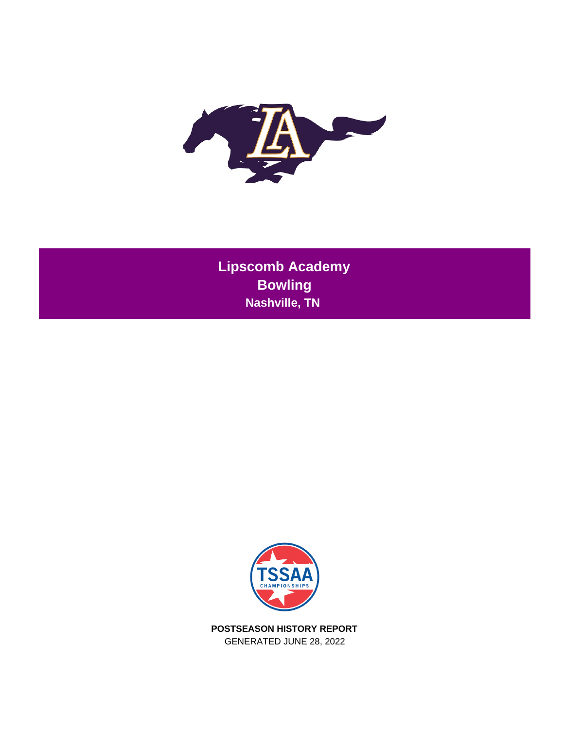

**Lipscomb Academy Bowling Nashville, TN** 



**POSTSEASON HISTORY REPORT** GENERATED JUNE 28, 2022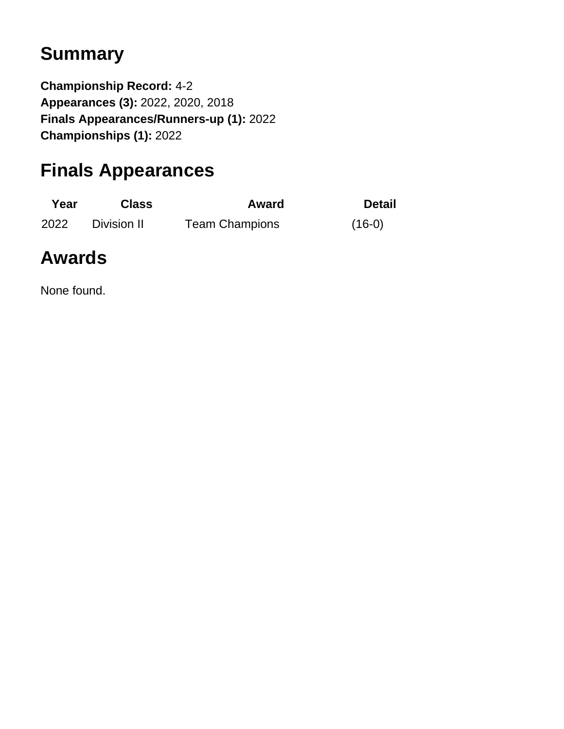# **Summary**

**Championship Record:** 4-2 **Appearances (3):** 2022, 2020, 2018 **Finals Appearances/Runners-up (1):** 2022 **Championships (1):** 2022

# **Finals Appearances**

| Year | <b>Class</b> | Award                 | <b>Detail</b> |
|------|--------------|-----------------------|---------------|
| 2022 | Division II  | <b>Team Champions</b> | $(16-0)$      |

# **Awards**

None found.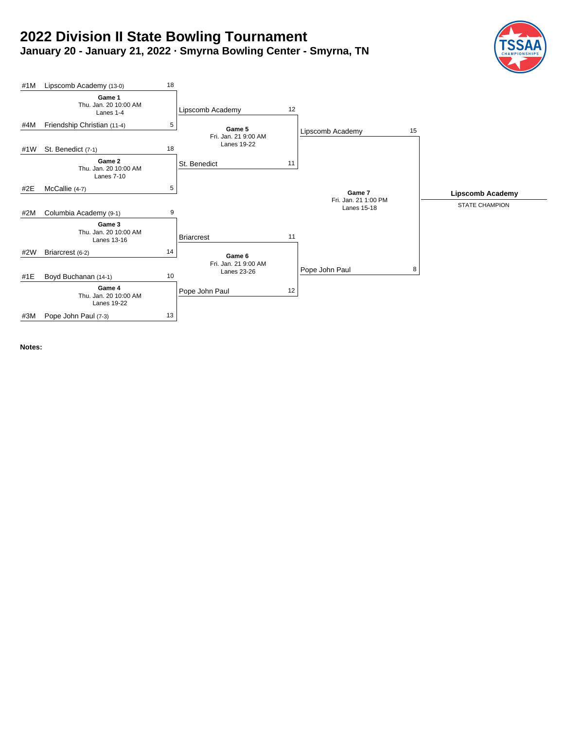# **2022 Division II State Bowling Tournament January 20 - January 21, 2022 · Smyrna Bowling Center - Smyrna, TN**





**Notes:**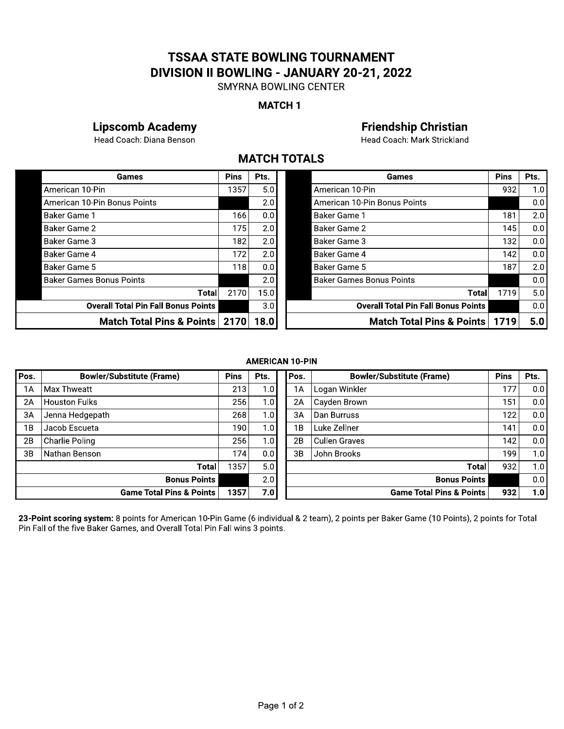# ISSAA STATE BOWLING TOURNAMENT **DIVISION II BOWLING - JANUARY 20-21, 2022**<br>SMYRNA BOWLING CENTER TSSAA STATE BOWLING TOURNA<br>
IVISION II BOWLING - JANUARY 20-<br>
SMYRNA BOWLING CENTER<br>
MATCH 1<br>
ademy<br>
MATCH TOTALS<br>
Pins Pts.

# MAICH I

# Lipscomb Academy<br>
23 Eriendship Christian<br>
23 Head Coach: Diana Benson<br>
23 Head Coach: Mark Strickland

# **MAICH IUIALS**

|                                                     |             | <b>MATCH 1</b> |                                                                                   |             |      |
|-----------------------------------------------------|-------------|----------------|-----------------------------------------------------------------------------------|-------------|------|
| <b>Lipscomb Academy</b><br>Head Coach: Diana Benson |             |                | <b>Friendship Christian</b><br>Head Coach: Mark Strickland<br><b>MATCH TOTALS</b> |             |      |
| Games                                               | <b>Pins</b> | Pts.           | Games                                                                             | <b>Pins</b> | Pts. |
| American 10-Pin                                     | 1357        | 5.0            | American 10-Pin                                                                   | 932         | 1.0  |
| American 10-Pin Bonus Points                        |             | 2.0            | American 10-Pin Bonus Points                                                      |             | 0.0  |
| Baker Game 1                                        | 166         | 0.0            | Baker Game 1                                                                      | 181         | 2.0  |
| Baker Game 2                                        | 175         | 2.0            | <b>Baker Game 2</b>                                                               | 145         | 0.0  |
| Baker Game 3                                        | 182         | 2.0            | Baker Game 3                                                                      | 132         | 0.0  |
| Baker Game 4                                        | 172         | 2.0            | Baker Game 4                                                                      | 142         | 0.0  |
| Baker Game 5                                        | 118         | 0.0            | Baker Game 5                                                                      | 187         | 2.0  |
| <b>Baker Games Bonus Points</b>                     |             | 2.0            | <b>Baker Games Bonus Points</b>                                                   |             | 0.0  |
| Total                                               | 2170        | 15.0           | <b>Total</b>                                                                      | 1719        | 5.0  |
| <b>Overall Total Pin Fall Bonus Points</b>          |             | 3.0            | <b>Overall Total Pin Fall Bonus Points</b>                                        |             | 0.0  |
| Match Total Pins & Points   2170   18.0             |             |                | Match Total Pins & Points   1719                                                  |             | 5.0  |

| Games                                      | <b>Pins</b> | Pts.             | Games                                      | <b>Pins</b> | Pts.             |
|--------------------------------------------|-------------|------------------|--------------------------------------------|-------------|------------------|
| American 10-Pin                            | 357ء        | 5.0              | American 10-Pin                            | 932         | 1.01             |
| American 10-Pin Bonus Points               |             | 2.0 <sub>1</sub> | American 10-Pin Bonus Points               |             | 0.01             |
| Baker Game 1                               | 166         | 0.0              | <b>Baker Game 1</b>                        | 181         | 2.0              |
| Baker Game 2                               | 175         | 2.0              | Baker Game 2                               | 145         | 0.0              |
| Baker Game 3                               | 182         | 2.0              | Baker Game 3                               | 132         | 0.01             |
| Baker Game 4                               | 172         | 2.0              | Baker Game 4                               | 142         | 0.01             |
| Baker Game 5                               | 118         | 0.0              | Baker Game 5                               | 187         | 2.0              |
| <b>Baker Games Bonus Points</b>            |             | 2.0              | <b>Baker Games Bonus Points</b>            |             | 0.01             |
| Total                                      | 2170        | 15.0             | Total                                      | 1719        | 5.0 <sub>1</sub> |
| <b>Overall Total Pin Fall Bonus Points</b> |             | 3.0              | <b>Overall Total Pin Fall Bonus Points</b> |             | 0.01             |
| Match Total Pins & Points   2170           |             | 18.0             | Match Total Pins & Points                  | 1719        | 5.0              |

#### **AMERICAN 10-PIN**

| Pos. | <b>Bowler/Substitute (Frame)</b>                                            | <b>Pins</b> | <b>AMERICAN 10-PIN</b><br>Pts. | Pos. | <b>Bowler/Substitute (Frame)</b>                                                                                                            | <b>Pins</b> | Pts. |
|------|-----------------------------------------------------------------------------|-------------|--------------------------------|------|---------------------------------------------------------------------------------------------------------------------------------------------|-------------|------|
| 1A   | Max Thweatt                                                                 | 213         | 1.0                            | 1A   | Logan Winkler                                                                                                                               | 177         | 0.0  |
| 2A   | <b>Houston Fulks</b>                                                        | 256         | 1.0                            | 2A   | Cayden Brown                                                                                                                                | 151         | 0.0  |
| 3A   | Jenna Hedgepath                                                             | 268         | 1.0                            | 3A   | Dan Burruss                                                                                                                                 | 122         | 0.0  |
| 1B   | Jacob Escueta                                                               | 190         | 1.0                            | 1B   | Luke Zellner                                                                                                                                | 141         | 0.0  |
| 2B   | Charlie Poling                                                              | 256         | 1.0                            | 2B   | <b>Cullen Graves</b>                                                                                                                        | 142         | 0.0  |
| 3B   | Nathan Benson                                                               | 174         | 0.0                            | 3B   | John Brooks                                                                                                                                 | 199         | 1.0  |
|      | <b>Total</b>                                                                | 1357        | 5.0                            |      | Total                                                                                                                                       | 932         | 1.0  |
|      | <b>Bonus Points</b>                                                         |             | 2.0                            |      | <b>Bonus Points</b>                                                                                                                         |             | 0.0  |
|      | <b>Game Total Pins &amp; Points</b>                                         | 1357        | 7.0                            |      | <b>Game Total Pins &amp; Points</b>                                                                                                         | 932         | 1.0  |
|      | Pin Fall of the five Baker Games, and Overall Total Pin Fall wins 3 points. |             |                                |      | 23-Point scoring system: 8 points for American 10-Pin Game (6 individual & 2 team), 2 points per Baker Game (10 Points), 2 points for Total |             |      |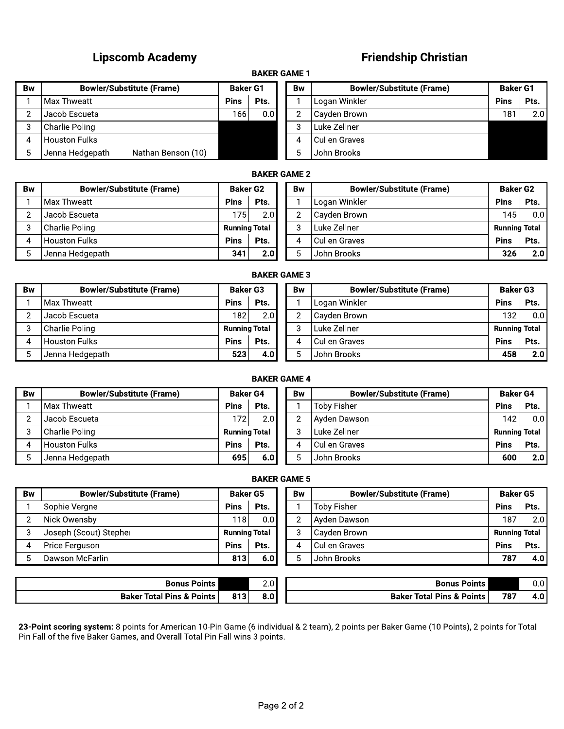# Lipscomb Academy **compared to the compare of the compare of the compare of the compare of the compare of the co**

# enasnip Christian

# **BAKER GAME 1**

|           | <b>Lipscomb Academy</b>               |                 |                    |                | <b>Friendship Christian</b>      |                 |      |  |  |  |  |  |  |
|-----------|---------------------------------------|-----------------|--------------------|----------------|----------------------------------|-----------------|------|--|--|--|--|--|--|
|           | <b>BAKER GAME 1</b>                   |                 |                    |                |                                  |                 |      |  |  |  |  |  |  |
| <b>Bw</b> | <b>Bowler/Substitute (Frame)</b>      | <b>Baker G1</b> |                    | <b>Bw</b>      | <b>Bowler/Substitute (Frame)</b> | <b>Baker G1</b> |      |  |  |  |  |  |  |
|           | Max Thweatt                           | <b>Pins</b>     | Pts.               |                | Logan Winkler                    | <b>Pins</b>     | Pts. |  |  |  |  |  |  |
| 2         | Jacob Escueta                         | 166             | 0.0                | $\overline{2}$ | Cayden Brown                     | 181             | 2.0  |  |  |  |  |  |  |
| 3         | Charlie Poling                        |                 |                    | 3              | Luke Zellner                     |                 |      |  |  |  |  |  |  |
| 4         | <b>Houston Fulks</b>                  |                 |                    | 4              | <b>Cullen Graves</b>             |                 |      |  |  |  |  |  |  |
| 5         | Jenna Hedgepath<br>Nathan Benson (10) |                 |                    | 5              | John Brooks                      |                 |      |  |  |  |  |  |  |
|           |                                       |                 | <b>RAKED CAME?</b> |                |                                  |                 |      |  |  |  |  |  |  |

|     |                       |                     | <b>Friendship Christian</b>      |                 |      |  |  |  |  |  |  |  |  |  |
|-----|-----------------------|---------------------|----------------------------------|-----------------|------|--|--|--|--|--|--|--|--|--|
|     | <b>BAKER GAME 1</b>   |                     |                                  |                 |      |  |  |  |  |  |  |  |  |  |
|     | <b>Baker G1</b><br>Bw |                     | <b>Bowler/Substitute (Frame)</b> | <b>Baker G1</b> |      |  |  |  |  |  |  |  |  |  |
| ns  | Pts.                  | 1                   | Logan Winkler                    | <b>Pins</b>     | Pts. |  |  |  |  |  |  |  |  |  |
| 166 | 0.0                   | $\overline{2}$      | Cayden Brown                     | 181             | 2.0  |  |  |  |  |  |  |  |  |  |
|     |                       | 3                   | Luke Zellner                     |                 |      |  |  |  |  |  |  |  |  |  |
|     |                       | 4                   | <b>Cullen Graves</b>             |                 |      |  |  |  |  |  |  |  |  |  |
|     |                       | 5                   | John Brooks                      |                 |      |  |  |  |  |  |  |  |  |  |
|     |                       | <b>RAKED CAME 2</b> |                                  |                 |      |  |  |  |  |  |  |  |  |  |

# **BAKER GAME 2**

| 2              | Jacob Escueta                         | 166                  | 0.0                 | $\overline{2}$ | Cayden Brown                     | 181                  | 2.0  |
|----------------|---------------------------------------|----------------------|---------------------|----------------|----------------------------------|----------------------|------|
| 3              | Charlie Poling                        |                      |                     | 3              | Luke Zellner                     |                      |      |
| 4              | <b>Houston Fulks</b>                  |                      |                     | 4              | <b>Cullen Graves</b>             |                      |      |
| 5              | Jenna Hedgepath<br>Nathan Benson (10) |                      |                     | 5              | John Brooks                      |                      |      |
|                |                                       |                      | <b>BAKER GAME 2</b> |                |                                  |                      |      |
| <b>Bw</b>      | <b>Bowler/Substitute (Frame)</b>      | <b>Baker G2</b>      |                     | <b>Bw</b>      | <b>Bowler/Substitute (Frame)</b> | <b>Baker G2</b>      |      |
|                | Max Thweatt                           | <b>Pins</b>          | Pts.                |                | Logan Winkler                    | <b>Pins</b>          | Pts. |
| $\overline{2}$ | Jacob Escueta                         | 175                  | 2.0                 | $\overline{2}$ | Cayden Brown                     | 145                  | 0.0  |
| 3              | Charlie Poling                        | <b>Running Total</b> |                     | 3              | Luke Zellner                     | <b>Running Total</b> |      |
| 4              | <b>Houston Fulks</b>                  | <b>Pins</b>          | Pts.                | 4              | <b>Cullen Graves</b>             | <b>Pins</b>          | Pts. |
| 5              | Jenna Hedgepath                       | 341                  | 2.0                 | 5.             | John Brooks                      | 326                  | 2.0  |
|                |                                       |                      | <b>BAKER GAME 3</b> |                |                                  |                      |      |
| Bw             | <b>Bowler/Substitute (Frame)</b>      | <b>Baker G3</b>      |                     | Bw             | <b>Bowler/Substitute (Frame)</b> | <b>Baker G3</b>      |      |
|                | l Max Thweatt                         | <b>Pins</b>          | Pts.                |                | Logan Winkler                    | <b>Pins</b>          | Pts. |

### **BAKER GAME 3**

| 2              | Jacob Escueta                    | 175                  | 2.0                 | $\overline{2}$        | Cayden Brown                     | 145                  | 0.0  |
|----------------|----------------------------------|----------------------|---------------------|-----------------------|----------------------------------|----------------------|------|
| 3              | Charlie Poling                   | <b>Running Total</b> |                     | 3                     | Luke Zellner                     | <b>Running Total</b> |      |
| 4              | <b>Houston Fulks</b>             | <b>Pins</b>          | Pts.                | 4                     | <b>Cullen Graves</b>             | <b>Pins</b>          | Pts. |
| 5              | Jenna Hedgepath                  | 341                  | 2.0                 | 5                     | John Brooks                      | 326                  | 2.0  |
|                |                                  |                      | <b>BAKER GAME 3</b> |                       |                                  |                      |      |
| <b>Bw</b>      | <b>Bowler/Substitute (Frame)</b> | <b>Baker G3</b>      |                     | <b>Bw</b>             | <b>Bowler/Substitute (Frame)</b> | <b>Baker G3</b>      |      |
|                | Max Thweatt                      | <b>Pins</b>          | Pts.                |                       | Logan Winkler                    | <b>Pins</b>          | Pts. |
| $\overline{2}$ | Jacob Escueta                    | 182                  | 2.0                 | $\mathbf{2}^{\prime}$ | Cayden Brown                     | 132                  | 0.0  |
| 3              | Charlie Poling                   | <b>Running Total</b> |                     | 3                     | Luke Zellner                     | <b>Running Total</b> |      |
| 4              | <b>Houston Fulks</b>             | <b>Pins</b>          | Pts.                | 4                     | <b>Cullen Graves</b>             | <b>Pins</b>          | Pts. |
| 5              | Jenna Hedgepath                  | 523                  | 4.0                 | 5.                    | John Brooks                      | 458                  | 2.0  |
|                |                                  |                      | <b>BAKER GAME 4</b> |                       |                                  |                      |      |
| Bw             | <b>Bowler/Substitute (Frame)</b> | <b>Baker G4</b>      |                     | Bw                    | <b>Bowler/Substitute (Frame)</b> | <b>Baker G4</b>      |      |
|                | Mov Thwoott                      | <b>Dine</b>          | Dte.                |                       | Toby Ficher                      | <b>Dine</b>          | Dte. |

# **BAKER GAME 4**

| 2              | Jacob Escueta                    | 182                  | 2.01                | 2              | Cayden Brown                     | 132                  | 0.0  |
|----------------|----------------------------------|----------------------|---------------------|----------------|----------------------------------|----------------------|------|
| 3              | Charlie Poling                   | <b>Running Total</b> |                     | 3              | Luke Zellner                     | <b>Running Total</b> |      |
| 4              | <b>Houston Fulks</b>             | <b>Pins</b>          | Pts.                | 4              | <b>Cullen Graves</b>             | <b>Pins</b>          | Pts. |
| 5              | Jenna Hedgepath                  | 523                  | 4.0                 | 5              | John Brooks                      | 458                  | 2.0  |
|                |                                  |                      |                     |                |                                  |                      |      |
|                |                                  |                      | <b>BAKER GAME 4</b> |                |                                  |                      |      |
| <b>Bw</b>      | <b>Bowler/Substitute (Frame)</b> | <b>Baker G4</b>      |                     | Bw             | <b>Bowler/Substitute (Frame)</b> | <b>Baker G4</b>      |      |
| 1              | Max Thweatt                      | <b>Pins</b>          | Pts.                |                | <b>Toby Fisher</b>               | <b>Pins</b>          | Pts. |
| $\overline{2}$ | Jacob Escueta                    | 172                  | 2.0                 | $\overline{2}$ | Ayden Dawson                     | 142                  | 0.0  |
| 3              | Charlie Poling                   | <b>Running Total</b> |                     | 3              | Luke Zellner                     | <b>Running Total</b> |      |
| 4              | <b>Houston Fulks</b>             | <b>Pins</b>          | Pts.                | 4              | <b>Cullen Graves</b>             | <b>Pins</b>          | Pts. |
| 5              | Jenna Hedgepath                  | 695                  | 6.0                 | 5              | John Brooks                      | 600                  | 2.0  |
|                |                                  |                      | <b>BAKER GAME 5</b> |                |                                  |                      |      |
| <b>Bw</b>      | <b>Bowler/Substitute (Frame)</b> | <b>Baker G5</b>      |                     | Bw             | <b>Bowler/Substitute (Frame)</b> | <b>Baker G5</b>      |      |
| 1              | Sophie Vergne                    | <b>Pins</b>          | Pts.                |                | Toby Fisher                      | <b>Pins</b>          | Pts. |
| $\overline{2}$ | Nick Owensby                     | 118                  | 0.0                 | $\overline{2}$ | Ayden Dawson                     | 187                  | 2.0  |
|                |                                  |                      |                     | 3              | Cayden Brown                     | <b>Running Total</b> |      |
| 3              | Joseph (Scout) Stepher           | <b>Running Total</b> |                     |                |                                  |                      |      |
| 4              | Price Ferguson                   | <b>Pins</b>          | Pts.                | 4              | <b>Cullen Graves</b>             | <b>Pins</b>          | Pts. |

| <b>BAKER GAME 5</b> |
|---------------------|
|                     |

| 3<br>$\overline{\mathbf{4}}$<br>5 | <b>Charlie Poling</b><br><b>Houston Fulks</b><br>Jenna Hedgepath | <b>Running Total</b><br><b>Pins</b> | Pts.                | 3              | Luke Zellner                         | <b>Running Total</b> |      |
|-----------------------------------|------------------------------------------------------------------|-------------------------------------|---------------------|----------------|--------------------------------------|----------------------|------|
|                                   |                                                                  |                                     |                     |                |                                      |                      |      |
|                                   |                                                                  |                                     |                     | 4              | <b>Cullen Graves</b>                 | <b>Pins</b>          | Pts. |
|                                   |                                                                  | 695                                 | 6.0                 | 5              | John Brooks                          | 600                  | 2.0  |
|                                   |                                                                  |                                     | <b>BAKER GAME 5</b> |                |                                      |                      |      |
| 3w                                | <b>Bowler/Substitute (Frame)</b>                                 | <b>Baker G5</b>                     |                     | Bw             | <b>Bowler/Substitute (Frame)</b>     | <b>Baker G5</b>      |      |
| 1                                 | Sophie Vergne                                                    | <b>Pins</b>                         | Pts.                |                | Toby Fisher                          | <b>Pins</b>          | Pts. |
| $\mathbf{2}$                      | Nick Owensby                                                     | 118                                 | 0.0                 | $\overline{2}$ | Ayden Dawson                         | 187                  | 2.0  |
| 3                                 | Joseph (Scout) Stepher                                           | <b>Running Total</b>                |                     | 3              | Cayden Brown                         | <b>Running Total</b> |      |
| 4                                 | Price Ferguson                                                   | <b>Pins</b>                         | Pts.                | 4              | <b>Cullen Graves</b>                 | <b>Pins</b>          | Pts. |
| 5                                 | Dawson McFarlin                                                  | 813                                 | 6.0                 | 5              | John Brooks                          | 787                  | 4.0  |
|                                   |                                                                  |                                     |                     |                |                                      |                      |      |
|                                   | <b>Bonus Points</b>                                              |                                     | 2.0                 |                | <b>Bonus Points</b>                  |                      | 0.0  |
|                                   | <b>Baker Total Pins &amp; Points</b>                             | 813                                 | 8.0                 |                | <b>Baker Total Pins &amp; Points</b> | 787                  | 4.0  |

|                | <b>BAKER GAME 5</b>                                                                                                                                                                                                                                                              |                      |      |                |                                  |                      |                  |  |  |  |  |  |  |
|----------------|----------------------------------------------------------------------------------------------------------------------------------------------------------------------------------------------------------------------------------------------------------------------------------|----------------------|------|----------------|----------------------------------|----------------------|------------------|--|--|--|--|--|--|
| Bw             | <b>Bowler/Substitute (Frame)</b>                                                                                                                                                                                                                                                 | <b>Baker G5</b>      |      | <b>Bw</b>      | <b>Bowler/Substitute (Frame)</b> | <b>Baker G5</b>      |                  |  |  |  |  |  |  |
|                | Sophie Vergne                                                                                                                                                                                                                                                                    | <b>Pins</b>          | Pts. |                | <b>Toby Fisher</b>               | <b>Pins</b>          | Pts.             |  |  |  |  |  |  |
| $\overline{2}$ | Nick Owensby                                                                                                                                                                                                                                                                     | 118 l                | 0.0  | $\overline{2}$ | Ayden Dawson                     | 187                  | 2.0              |  |  |  |  |  |  |
| 3              | Joseph (Scout) Stepher                                                                                                                                                                                                                                                           | <b>Running Total</b> |      | 3              | Cayden Brown                     | <b>Running Total</b> |                  |  |  |  |  |  |  |
| 4              | Price Ferguson                                                                                                                                                                                                                                                                   | <b>Pins</b>          | Pts. | 4              | <b>Cullen Graves</b>             | <b>Pins</b>          | Pts.             |  |  |  |  |  |  |
| 5              | Dawson McFarlin                                                                                                                                                                                                                                                                  | 813                  | 6.0  | 5              | John Brooks                      | 787                  | 4.0 <sub>1</sub> |  |  |  |  |  |  |
|                |                                                                                                                                                                                                                                                                                  |                      |      |                |                                  |                      |                  |  |  |  |  |  |  |
|                | <b>Bonus Points</b>                                                                                                                                                                                                                                                              |                      | 2.0  |                | <b>Bonus Points</b>              |                      | 0.0              |  |  |  |  |  |  |
|                | <b>Baker Total Pins &amp; Points</b>                                                                                                                                                                                                                                             |                      |      |                |                                  | 787                  | 4.0              |  |  |  |  |  |  |
|                | 813<br>8.0<br><b>Baker Total Pins &amp; Points</b><br>23-Point scoring system: 8 points for American 10-Pin Game (6 individual & 2 team), 2 points per Baker Game (10 Points), 2 points for Total<br>Pin Fall of the five Baker Games, and Overall Total Pin Fall wins 3 points. |                      |      |                |                                  |                      |                  |  |  |  |  |  |  |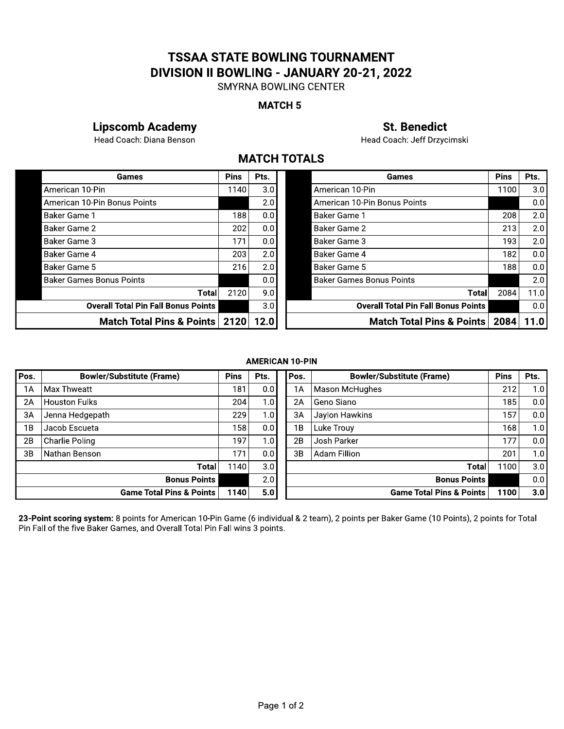# ISSAA STATE BOWLING TOURNAMENT **DIVISION II BOWLING - JANUARY 20-21, 2022**<br>SMYRNA BOWLING CENTER TSSAA STATE BOWLING TOURNA<br>
IVISION II BOWLING - JANUARY 20-<br>
SMYRNA BOWLING CENTER<br>
MATCH 5<br>
ademy<br>
MATCH TOTALS<br>
Pins Pts.<br>
1140 30

# MAICH<sub>5</sub>

# Lipscomb Academy<br>
31. Benedict<br>
3456 Head Coach: Diana Benson<br>
346 Head Coach: Jeff Drzycimski

# **MAICH IUIALS**

|                                            |             |      | <b>SMYRNA BOWLING CENTER</b>               |             |      |
|--------------------------------------------|-------------|------|--------------------------------------------|-------------|------|
|                                            |             |      | <b>MATCH 5</b>                             |             |      |
| <b>Lipscomb Academy</b>                    |             |      | <b>St. Benedict</b>                        |             |      |
| Head Coach: Diana Benson                   |             |      | Head Coach: Jeff Drzycimski                |             |      |
|                                            |             |      | <b>MATCH TOTALS</b>                        |             |      |
| Games                                      | <b>Pins</b> | Pts. | Games                                      | <b>Pins</b> | Pts. |
| American 10-Pin                            | 1140        | 3.0  | American 10-Pin                            | 1100        | 3.0  |
| American 10-Pin Bonus Points               |             | 2.0  | American 10-Pin Bonus Points               |             | 0.0  |
| Baker Game 1                               | 188         | 0.0  | Baker Game 1                               | 208         | 2.0  |
| Baker Game 2                               | 202         | 0.0  | Baker Game 2                               | 213         | 2.0  |
| Baker Game 3                               | 171         | 0.0  | Baker Game 3                               | 193         | 2.0  |
| Baker Game 4                               | 203         | 2.0  | Baker Game 4                               | 182         | 0.0  |
| Baker Game 5                               | 216         | 2.0  | Baker Game 5                               | 188         | 0.0  |
| <b>Baker Games Bonus Points</b>            |             | 0.0  | <b>Baker Games Bonus Points</b>            |             | 2.0  |
| Total                                      | 2120        | 9.0  | <b>Total</b>                               | 2084        | 11.0 |
| <b>Overall Total Pin Fall Bonus Points</b> |             | 3.0  | <b>Overall Total Pin Fall Bonus Points</b> |             | 0.0  |
| Match Total Pins & Points   2120           |             | 12.0 | Match Total Pins & Points   2084           |             | 11.0 |

| Games                              | <b>Pins</b> | Pts. | Games                                      | <b>Pins</b> | Pts. |
|------------------------------------|-------------|------|--------------------------------------------|-------------|------|
|                                    | 1140        | 3.0  | American 10-Pin                            | 1100        | 3.0  |
| nus Points                         |             | 2.0  | American 10-Pin Bonus Points               |             | 0.0  |
|                                    | 188         | 0.0  | Baker Game 1                               | 208         | 2.0  |
|                                    | 202         | 0.0  | Baker Game 2                               | 213         | 2.0  |
|                                    | 171         | 0.0  | <b>Baker Game 3</b>                        | 193         | 2.0  |
|                                    | 203         | 2.0  | Baker Game 4                               | 182         | 0.0  |
|                                    | 216         | 2.0  | <b>Baker Game 5</b>                        | 188         | 0.0  |
| s Points                           |             | 0.0  | <b>Baker Games Bonus Points</b>            |             | 2.0  |
| Total                              | 2120        | 9.0  | <b>Total</b>                               | 2084        | 11.0 |
| <b>Total Pin Fall Bonus Points</b> |             | 3.0  | <b>Overall Total Pin Fall Bonus Points</b> |             | 0.0  |
| ch Total Pins & Points             | 2120        | 12.0 | Match Total Pins & Points                  | 2084        | 11.0 |

### **AMERICAN 10-PIN**

| <b>Bowler/Substitute (Frame)</b>    | <b>Pins</b> | Pts. |                     | Pos.              | <b>Bowler/Substitute (Frame)</b>                                                                      | <b>Pins</b>                                                | Pts.                                                                                                                                        |
|-------------------------------------|-------------|------|---------------------|-------------------|-------------------------------------------------------------------------------------------------------|------------------------------------------------------------|---------------------------------------------------------------------------------------------------------------------------------------------|
| Max Thweatt                         | 181         | 0.0  |                     | 1A                | Mason McHughes                                                                                        | 212                                                        | 1.0                                                                                                                                         |
| <b>Houston Fulks</b>                |             |      |                     | 2A                | Geno Siano                                                                                            | 185                                                        | 0.0                                                                                                                                         |
| Jenna Hedgepath                     | 229         |      |                     | 3A                | Jaylon Hawkins                                                                                        | 157                                                        | 0.0                                                                                                                                         |
| Jacob Escueta                       | 158         | 0.0  |                     | 1B                | Luke Trouy                                                                                            | 168                                                        | 1.0                                                                                                                                         |
| Charlie Poling                      | 197         |      |                     | 2B                | Josh Parker                                                                                           | 177                                                        | 0.0                                                                                                                                         |
| Nathan Benson                       | 171         | 0.0  |                     | 3B                | Adam Fillion                                                                                          | 201                                                        | 1.0                                                                                                                                         |
| <b>Total</b>                        |             | 3.0  |                     |                   | Total                                                                                                 | 1100                                                       | 3.0                                                                                                                                         |
| <b>Bonus Points</b>                 |             | 2.0  |                     |                   |                                                                                                       |                                                            | 0.0                                                                                                                                         |
| <b>Game Total Pins &amp; Points</b> |             | 5.0  |                     |                   |                                                                                                       | 1100                                                       | 3.0                                                                                                                                         |
|                                     |             |      |                     |                   |                                                                                                       |                                                            |                                                                                                                                             |
|                                     |             |      | 204<br>1140<br>1140 | 1.0<br>1.0<br>1.0 | <b>AMERICAN 10-PIN</b><br>Pin Fall of the five Baker Games, and Overall Total Pin Fall wins 3 points. | <b>Bonus Points</b><br><b>Game Total Pins &amp; Points</b> | 23-Point scoring system: 8 points for American 10-Pin Game (6 individual & 2 team), 2 points per Baker Game (10 Points), 2 points for Total |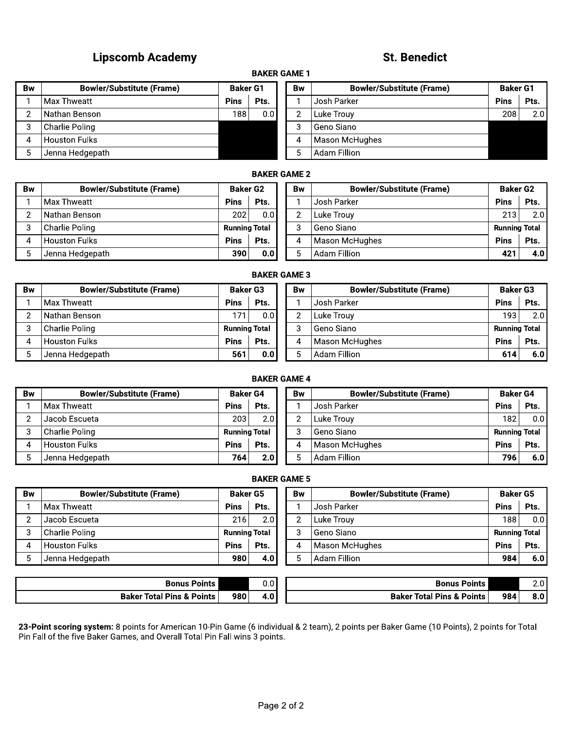# Lipscomb Academy (1999) and the second statement of the St. Benedict

# **St. Benedict**

# **BAKER GAME 1**

|                | <b>Lipscomb Academy</b>          |                 |                     |                | St. B <sub>0</sub>     |
|----------------|----------------------------------|-----------------|---------------------|----------------|------------------------|
|                |                                  |                 | <b>BAKER GAME 1</b> |                |                        |
| <b>Bw</b>      | <b>Bowler/Substitute (Frame)</b> | <b>Baker G1</b> |                     | <b>Bw</b>      | <b>Bowler/Substitu</b> |
| 1              | Max Thweatt                      | <b>Pins</b>     | Pts.                |                | Josh Parker            |
| $\overline{2}$ | Nathan Benson                    | 188             | 0.0                 | $\overline{2}$ | Luke Trouy             |
| 3              | Charlie Poling                   |                 |                     | 3              | Geno Siano             |
| 4              | <b>Houston Fulks</b>             |                 |                     | 4              | Mason McHughes         |
| 5              | Jenna Hedgepath                  |                 |                     | 5              | <b>Adam Fillion</b>    |
|                |                                  |                 | <b>RAKED CAME?</b>  |                |                        |

|                | <b>Lipscomb Academy</b>          |                 |                     |                | <b>St. Benedict</b>              |                 |      |  |  |  |  |  |
|----------------|----------------------------------|-----------------|---------------------|----------------|----------------------------------|-----------------|------|--|--|--|--|--|
|                |                                  |                 | <b>BAKER GAME 1</b> |                |                                  |                 |      |  |  |  |  |  |
| 3w             | <b>Bowler/Substitute (Frame)</b> | <b>Baker G1</b> |                     | Bw             | <b>Bowler/Substitute (Frame)</b> | <b>Baker G1</b> |      |  |  |  |  |  |
| 1              | Max Thweatt                      | <b>Pins</b>     | Pts.                |                | Josh Parker                      | <b>Pins</b>     | Pts. |  |  |  |  |  |
| $\overline{c}$ | Nathan Benson                    | 188             | 0.0                 | $\overline{2}$ | Luke Trouy                       | 208             | 2.0  |  |  |  |  |  |
| 3              | Charlie Poling                   |                 |                     | 3              | Geno Siano                       |                 |      |  |  |  |  |  |
| 4              | Houston Fulks                    |                 |                     | 4              | Mason McHughes                   |                 |      |  |  |  |  |  |
| 5              | Jenna Hedgepath                  |                 |                     | 5              | Adam Fillion                     |                 |      |  |  |  |  |  |
|                | <b>RAKED CAME?</b>               |                 |                     |                |                                  |                 |      |  |  |  |  |  |

# **BAKER GAME 2**

| 2                   | Nathan Benson                    | 188                  | 0.0              | $\overline{2}$ | Luke Trouy                       | 208                  | 2.0  |  |  |  |
|---------------------|----------------------------------|----------------------|------------------|----------------|----------------------------------|----------------------|------|--|--|--|
| 3                   | Charlie Poling                   |                      |                  | 3              | Geno Siano                       |                      |      |  |  |  |
| 4                   | <b>Houston Fulks</b>             |                      |                  | 4              | Mason McHughes                   |                      |      |  |  |  |
| 5                   | Jenna Hedgepath                  |                      |                  | 5              | <b>Adam Fillion</b>              |                      |      |  |  |  |
| <b>BAKER GAME 2</b> |                                  |                      |                  |                |                                  |                      |      |  |  |  |
| <b>Bw</b>           | <b>Bowler/Substitute (Frame)</b> | <b>Baker G2</b>      |                  | <b>Bw</b>      | <b>Bowler/Substitute (Frame)</b> | <b>Baker G2</b>      |      |  |  |  |
|                     | Max Thweatt                      | <b>Pins</b>          | Pts.             |                | Josh Parker                      | <b>Pins</b>          | Pts. |  |  |  |
| $\overline{2}$      | Nathan Benson                    | 202 l                | 0.0 <sub>1</sub> | $\overline{2}$ | Luke Trouy                       | 213                  | 2.0  |  |  |  |
| 3                   | Charlie Poling                   | <b>Running Total</b> |                  | 3              | Geno Siano                       | <b>Running Total</b> |      |  |  |  |
| 4                   | <b>Houston Fulks</b>             | <b>Pins</b>          | Pts.             | 4              | <b>Mason McHughes</b>            | <b>Pins</b>          | Pts. |  |  |  |
|                     |                                  |                      |                  | 5              | <b>Adam Fillion</b>              | 421                  | 4.0  |  |  |  |
| 5                   | Jenna Hedgepath                  | 390                  | 0.0              |                |                                  |                      |      |  |  |  |

#### **BAKER GAME 3**

| 2         | Nathan Benson                    | 202                  | 0.0  |  | 2              | Luke Trouy                       | 213                  | 2.0  |  |  |  |  |
|-----------|----------------------------------|----------------------|------|--|----------------|----------------------------------|----------------------|------|--|--|--|--|
| 3         | Charlie Poling                   | <b>Running Total</b> |      |  | 3              | Geno Siano                       | <b>Running Total</b> |      |  |  |  |  |
| 4         | <b>Houston Fulks</b>             | <b>Pins</b>          | Pts. |  | 4              | Mason McHughes                   | <b>Pins</b>          | Pts. |  |  |  |  |
| 5         | Jenna Hedgepath                  | 390                  | 0.0  |  | 5              | Adam Fillion                     | 421                  | 4.0  |  |  |  |  |
|           | <b>BAKER GAME 3</b>              |                      |      |  |                |                                  |                      |      |  |  |  |  |
| <b>Bw</b> | <b>Bowler/Substitute (Frame)</b> | <b>Baker G3</b>      |      |  | <b>Bw</b>      | <b>Bowler/Substitute (Frame)</b> | <b>Baker G3</b>      |      |  |  |  |  |
|           | Max Thweatt                      | <b>Pins</b>          | Pts. |  |                | Josh Parker                      | <b>Pins</b>          | Pts. |  |  |  |  |
| 2         | Nathan Benson                    | 171                  | 0.0  |  | $\overline{2}$ | Luke Trouv                       | 193 l                | 2.0  |  |  |  |  |
| 3         | Charlie Poling                   | <b>Running Total</b> |      |  | 3              | Geno Siano                       | <b>Running Total</b> |      |  |  |  |  |
| 4         | <b>Houston Fulks</b>             | <b>Pins</b>          | Pts. |  | 4              | Mason McHughes                   | <b>Pins</b>          | Pts. |  |  |  |  |
| 5         | Jenna Hedgepath                  | 561                  | 0.0  |  | 5              | Adam Fillion                     | 614                  | 6.0  |  |  |  |  |
|           |                                  |                      |      |  |                |                                  |                      |      |  |  |  |  |

# **BAKER GAME 4**

| 2         | Nathan Benson                    | 171                  | 0.01                | 2              | Luke Trouy                       | 1931                 | 2.01 |
|-----------|----------------------------------|----------------------|---------------------|----------------|----------------------------------|----------------------|------|
| 3         | Charlie Poling                   | <b>Running Total</b> |                     | 3              | Geno Siano                       | <b>Running Total</b> |      |
| 4         | <b>Houston Fulks</b>             | <b>Pins</b>          | Pts.                | 4              | Mason McHughes                   | <b>Pins</b>          | Pts. |
| 5         | Jenna Hedgepath                  | 561                  | 0.0                 | 5              | <b>Adam Fillion</b>              | 614                  | 6.0  |
|           |                                  |                      | <b>BAKER GAME 4</b> |                |                                  |                      |      |
| <b>Bw</b> | <b>Bowler/Substitute (Frame)</b> | <b>Baker G4</b>      |                     | <b>Bw</b>      | <b>Bowler/Substitute (Frame)</b> | <b>Baker G4</b>      |      |
|           | Max Thweatt                      | <b>Pins</b>          | Pts.                |                | Josh Parker                      | <b>Pins</b>          | Pts. |
| 2         | Jacob Escueta                    | 203                  | 2.0                 | $\mathbf{2}$   | Luke Trouy                       | 182                  | 0.0  |
| 3         | Charlie Poling                   | <b>Running Total</b> |                     | 3              | Geno Siano                       | <b>Running Total</b> |      |
| 4         | <b>Houston Fulks</b>             | <b>Pins</b>          | Pts.                | 4              | Mason McHughes                   | <b>Pins</b>          | Pts. |
| 5         | Jenna Hedgepath                  | 764                  | 2.0                 | 5              | <b>Adam Fillion</b>              | 796                  | 6.0  |
|           |                                  |                      | <b>BAKER GAME 5</b> |                |                                  |                      |      |
| <b>Bw</b> | <b>Bowler/Substitute (Frame)</b> | <b>Baker G5</b>      |                     | <b>Bw</b>      | <b>Bowler/Substitute (Frame)</b> | <b>Baker G5</b>      |      |
| 1         | Max Thweatt                      | <b>Pins</b>          | Pts.                |                | Josh Parker                      | <b>Pins</b>          | Pts. |
| 2         | Jacob Escueta                    | 216                  | 2.0                 | $\overline{2}$ | Luke Trouy                       | 188                  | 0.0  |
| 3         | <b>Charlie Poling</b>            | <b>Running Total</b> |                     | 3              | Geno Siano                       | <b>Running Total</b> |      |
| 4         | <b>Houston Fulks</b>             | <b>Pins</b>          | Pts.                | 4              | Mason McHughes                   | <b>Pins</b>          | Pts. |
| 5         | Jenna Hedgepath                  | 980                  | 4.0                 | 5              | <b>Adam Fillion</b>              | 984                  | 6.0  |
|           |                                  |                      |                     |                |                                  |                      |      |
|           |                                  |                      |                     |                |                                  |                      |      |

# **BAKER GAME 5**

| 2  | Jacob Escueta                    | 203                  | 2.0                  | $\overline{2}$ | Luke Trouy                       | 182                  | 0.01 |  |  |  |  |  |
|----|----------------------------------|----------------------|----------------------|----------------|----------------------------------|----------------------|------|--|--|--|--|--|
| 3  | Charlie Poling                   |                      | <b>Running Total</b> |                | Geno Siano                       | <b>Running Total</b> |      |  |  |  |  |  |
| 4  | <b>Houston Fulks</b>             | <b>Pins</b>          | Pts.                 | 4              | Mason McHughes                   | <b>Pins</b>          | Pts. |  |  |  |  |  |
| 5  | Jenna Hedgepath                  | 764                  | 2.0                  | 5.             | Adam Fillion                     | 796                  | 6.0  |  |  |  |  |  |
|    | <b>BAKER GAME 5</b>              |                      |                      |                |                                  |                      |      |  |  |  |  |  |
| 3w | <b>Bowler/Substitute (Frame)</b> | <b>Baker G5</b>      |                      | Bw             | <b>Bowler/Substitute (Frame)</b> | <b>Baker G5</b>      |      |  |  |  |  |  |
| 1  | l Max Thweatt                    | <b>Pins</b>          | Pts.                 |                | Josh Parker                      | <b>Pins</b>          | Pts. |  |  |  |  |  |
| 2  | Jacob Escueta                    | 216                  | 2.0                  | $\overline{2}$ | Luke Trouy                       | 188                  | 0.0  |  |  |  |  |  |
| 3  | l Charlie Poling                 | <b>Running Total</b> |                      | 3              | Geno Siano                       | <b>Running Total</b> |      |  |  |  |  |  |
| 4  | Houston Fulks                    | <b>Pins</b>          | Pts.                 | 4              | Mason McHughes                   | <b>Pins</b>          | Pts. |  |  |  |  |  |
| 5  | Jenna Hedgepath                  | 980                  | 4.0                  | 5.             | Adam Fillion                     | 984                  | 6.0  |  |  |  |  |  |
|    |                                  |                      |                      |                |                                  |                      |      |  |  |  |  |  |
|    |                                  |                      |                      |                |                                  |                      |      |  |  |  |  |  |

| Bonus<br>Points .                    |     | u.u  | Bonus<br>Points                      |     | $\sim$<br>Z.U    |
|--------------------------------------|-----|------|--------------------------------------|-----|------------------|
| <b>Baker Total Pins &amp; Points</b> | 980 | +.0' | <b>Baker Total Pins &amp; Points</b> | 984 | 8.0 <sub>1</sub> |

 $23$ -Polnt scoring system: 8 points for American TU-Pin Game (6 individual & 2 team), 2 points per Baker Game (TU Points), 2 points for Total Pin Fail of the five Baker Games, and Overall Total Pin Fail wins 3 points.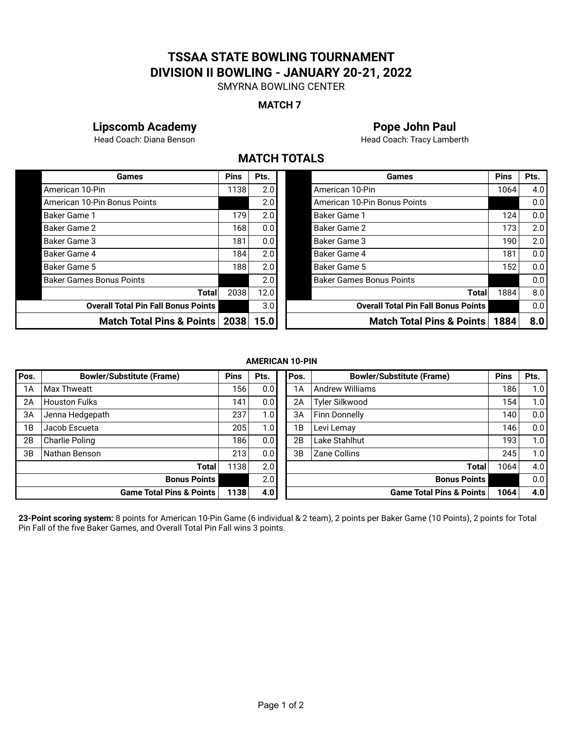# **TSSAA STATE BOWLING TOURNAMENT DIVISION II BOWLING - JANUARY 20-21, 2022**

SMYRNA BOWLING CENTER

# **MATCH 7**

# **Lipscomb Academy Pope John Paul**

Head Coach: Diana Benson **Head Coach: Tracy Lamberth** 

# **MATCH TOTALS**

| Games                                      | <b>Pins</b> | Pts. |  |
|--------------------------------------------|-------------|------|--|
| American 10-Pin                            | 1138        | 2.0  |  |
| American 10-Pin Bonus Points               |             | 2.0  |  |
| Baker Game 1                               | 179         | 2.0  |  |
| Baker Game 2                               | 168         | 0.0  |  |
| Baker Game 3                               | 181         | 0.0  |  |
| Baker Game 4                               | 184         | 2.0  |  |
| Baker Game 5                               | 188         | 2.0  |  |
| <b>Baker Games Bonus Points</b>            |             | 2.0  |  |
| Total                                      | 2038        | 12.0 |  |
| <b>Overall Total Pin Fall Bonus Points</b> |             | 3.0  |  |
| Match Total Pins & Points                  | 2038        | 15.0 |  |

| Games                                      | <b>Pins</b> | Pts. | Games                                      | <b>Pins</b> | Pts.             |
|--------------------------------------------|-------------|------|--------------------------------------------|-------------|------------------|
| American 10-Pin                            | 1138        | 2.0  | American 10-Pin                            | 1064        | 4.0 <sub>1</sub> |
| American 10-Pin Bonus Points               |             | 2.0  | American 10-Pin Bonus Points               |             | 0.0              |
| Baker Game 1                               | 179         | 2.0  | <b>Baker Game 1</b>                        | 124         | 0.0              |
| Baker Game 2                               | 168         | 0.0  | Baker Game 2                               | 173         | 2.0              |
| Baker Game 3                               | 181         | 0.0  | Baker Game 3                               | 190         | 2.0              |
| Baker Game 4                               | 184         | 2.0  | Baker Game 4                               | 181         | 0.0              |
| Baker Game 5                               | 188         | 2.0  | Baker Game 5                               | 152         | 0.0 <sub>1</sub> |
| Baker Games Bonus Points                   |             | 2.0  | <b>Baker Games Bonus Points</b>            |             | 0.0              |
| Total                                      | 2038        | 12.0 | Totall                                     | 1884        | 8.0              |
| <b>Overall Total Pin Fall Bonus Points</b> |             | 3.0  | <b>Overall Total Pin Fall Bonus Points</b> |             | 0.0 <sub>1</sub> |
| Match Total Pins & Points   2038           |             | 15.0 | <b>Match Total Pins &amp; Points</b>       | 1884        | 8.0              |

## **AMERICAN 10-PIN**

| Pos. | <b>Bowler/Substitute (Frame)</b>    | <b>Pins</b> | Pts.             | Pos. | <b>Bowler/Substitute (Frame)</b>    | <b>Pins</b>      | Pts. |
|------|-------------------------------------|-------------|------------------|------|-------------------------------------|------------------|------|
| 1A   | <b>Max Thweatt</b>                  | 156         | 0.0 <sub>1</sub> | 1A   | <b>Andrew Williams</b>              | 186              | 1.0  |
| 2A   | <b>Houston Fulks</b>                | 141         | 0.0 <sub>1</sub> | 2A   | Tyler Silkwood                      | 1541             | 1.0  |
| 3A   | Jenna Hedgepath                     | 237         | 1.0              | 3A   | <b>Finn Donnelly</b>                | 140              | 0.0  |
| 1Β   | Jacob Escueta                       | 205         | 1.0              | 1B   | Levi Lemay                          | 146              | 0.0  |
| 2B   | <b>Charlie Poling</b>               | 186         | 0.0 <sub>1</sub> | 2B   | Lake Stahlhut                       | 193 <sub>1</sub> | 1.0  |
| 3B   | Nathan Benson                       | 213         | 0.01             | 3B   | Zane Collins                        | 245              | 1.0  |
|      | Total                               | 1138        | 2.0              |      | <b>Total</b>                        | 1064             | 4.0  |
|      | <b>Bonus Points</b>                 |             | 2.0              |      | <b>Bonus Points</b>                 |                  | 0.0  |
|      | <b>Game Total Pins &amp; Points</b> | 1138        | 4.0              |      | <b>Game Total Pins &amp; Points</b> | 1064             | 4.0  |

**23-Point scoring system:** 8 points for American 10-Pin Game (6 individual & 2 team), 2 points per Baker Game (10 Points), 2 points for Total Pin Fall of the five Baker Games, and Overall Total Pin Fall wins 3 points.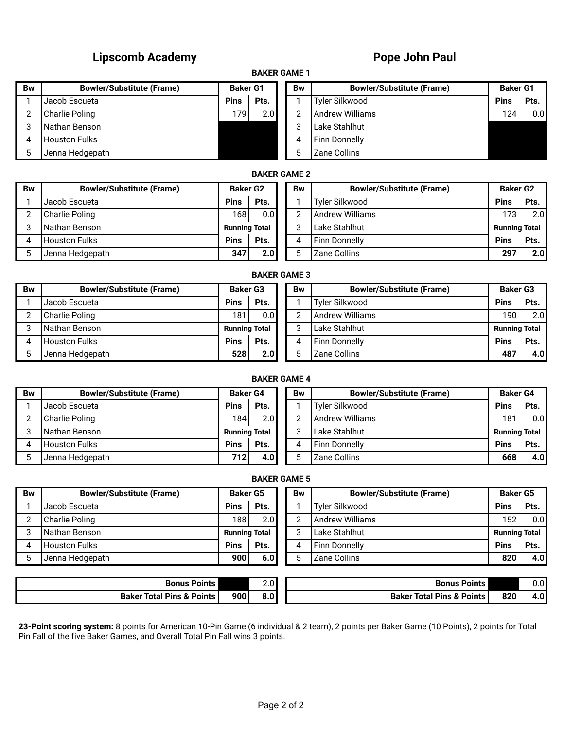# **Lipscomb Academy Pope John Paul**

# **BAKER GAME 1**

| Bw | <b>Bowler/Substitute (Frame)</b> | <b>Baker G1</b> |      | Bw | <b>Bowler/Substitute (Frame)</b> |                  | <b>Baker G1</b> |  |
|----|----------------------------------|-----------------|------|----|----------------------------------|------------------|-----------------|--|
|    | Jacob Escueta                    | <b>Pins</b>     | Pts. |    | Tyler Silkwood                   | <b>Pins</b>      | Pts.            |  |
|    | Charlie Poling                   | 1791            | 2.0  | ⌒  | Andrew Williams                  | 124 <sub>1</sub> | 0.0             |  |
|    | l Nathan Benson                  |                 |      | ົ  | Lake Stahlhut                    |                  |                 |  |
|    | Houston Fulks                    |                 |      |    | <b>Finn Donnelly</b>             |                  |                 |  |
|    | Jenna Hedgepath                  |                 |      |    | Zane Collins                     |                  |                 |  |

| Bw | <b>Bowler/Substitute (Frame)</b> | <b>Baker G1</b> |      |  |
|----|----------------------------------|-----------------|------|--|
|    | Tyler Silkwood                   | <b>Pins</b>     | Pts. |  |
| 2  | <b>Andrew Williams</b>           | 124             |      |  |
| 3  | Lake Stahlhut                    |                 |      |  |
| 4  | <b>Finn Donnelly</b>             |                 |      |  |
| 5  | Zane Collins                     |                 |      |  |

# **BAKER GAME 2**

| Bw | <b>Bowler/Substitute (Frame)</b> |                  | <b>Baker G2</b>      |  |   |                       | <b>Bw</b>            | <b>Bowler/Substitute (Frame)</b> | <b>Baker G2</b> |  |
|----|----------------------------------|------------------|----------------------|--|---|-----------------------|----------------------|----------------------------------|-----------------|--|
|    | Jacob Escueta                    | <b>Pins</b>      | Pts.                 |  |   | <b>Tyler Silkwood</b> | <b>Pins</b>          | Pts.                             |                 |  |
| ◠  | Charlie Poling                   | 168 <sub>1</sub> | 0.01                 |  | C | Andrew Williams       | 173                  | 2.0                              |                 |  |
| ≏  | Nathan Benson                    |                  | <b>Running Total</b> |  | C | Lake Stahlhut         | <b>Running Total</b> |                                  |                 |  |
| 4  | <b>Houston Fulks</b>             | <b>Pins</b>      | Pts.                 |  | 4 | <b>Finn Donnelly</b>  | <b>Pins</b>          | Pts.                             |                 |  |
|    | Jenna Hedgepath                  | 347              | 2.0                  |  |   | Zane Collins          | 297                  | 2.0                              |                 |  |

#### **BAKER GAME 3**

| Bw | <b>Bowler/Substitute (Frame)</b> | <b>Baker G3</b>      |      | Bw | <b>Bowler/Substitute (Frame)</b> | <b>Baker G3</b>      |                  |
|----|----------------------------------|----------------------|------|----|----------------------------------|----------------------|------------------|
|    | Jacob Escueta                    | <b>Pins</b>          | Pts. |    | <b>Tvler Silkwood</b>            | <b>Pins</b>          | Pts.             |
|    | Charlie Poling                   | 181                  | 0.01 |    | <b>Andrew Williams</b>           | 190 l                | 2.0              |
|    | Nathan Benson                    | <b>Running Total</b> |      |    | Lake Stahlhut                    | <b>Running Total</b> |                  |
|    | <b>Houston Fulks</b>             | <b>Pins</b>          | Pts. |    | Finn Donnelly                    | <b>Pins</b>          | Pts.             |
|    | Jenna Hedgepath                  | 528                  | 2.0  |    | Zane Collins                     | 487                  | 4.0 <sub>1</sub> |

# **BAKER GAME 4**

| <b>Bw</b> | <b>Bowler/Substitute (Frame)</b> | <b>Baker G4</b>      |                  | <b>Bw</b> | <b>Bowler/Substitute (Frame)</b> | <b>Baker G4</b>      |                  |
|-----------|----------------------------------|----------------------|------------------|-----------|----------------------------------|----------------------|------------------|
|           | Jacob Escueta                    | <b>Pins</b>          | Pts.             |           | Tyler Silkwood                   | <b>Pins</b>          | Pts.             |
|           | Charlie Poling                   | 184 <sub>1</sub>     | 2.0              |           | <b>Andrew Williams</b>           | 181                  | 0.0 <sub>1</sub> |
|           | Nathan Benson                    | <b>Running Total</b> |                  |           | Lake Stahlhut                    | <b>Running Total</b> |                  |
|           | <b>Houston Fulks</b>             | <b>Pins</b>          | Pts.             |           | Finn Donnelly                    | <b>Pins</b>          | Pts.             |
|           | Jenna Hedgepath                  | 712                  | 4.0 <sub>1</sub> |           | Zane Collins                     | 668                  | 4.0 <sub>1</sub> |
|           |                                  |                      |                  |           |                                  |                      |                  |

| }w | <b>Bowler/Substitute (Frame)</b> | <b>Baker G5</b> |                      | <b>Bw</b> | <b>Bowler/Substitute (Frame)</b> | <b>Baker G5</b>      |                  |
|----|----------------------------------|-----------------|----------------------|-----------|----------------------------------|----------------------|------------------|
|    | Jacob Escueta                    | <b>Pins</b>     | Pts.                 |           | Tyler Silkwood                   | <b>Pins</b>          | Pts.             |
| 2  | Charlie Poling                   | 188             | 2.0                  |           | <b>Andrew Williams</b>           | 152                  | 0.0 <sub>l</sub> |
| 3  | INathan Benson                   |                 | <b>Running Total</b> |           | Lake Stahlhut                    | <b>Running Total</b> |                  |
| 4  | <b>Houston Fulks</b>             | <b>Pins</b>     | Pts.                 |           | l Finn Donnellv                  | <b>Pins</b>          | Pts.             |
| 5  | Jenna Hedgepath                  | 900             | 6.0                  |           | Zane Collins                     | 820                  | 4.0 <sub>1</sub> |

| Bonus<br><b>Points</b>               |     | $\sim$ $\sim$<br> | <b>Points</b><br>₹onus                |     | ົ່<br>υ.υ  |
|--------------------------------------|-----|-------------------|---------------------------------------|-----|------------|
| <b>Baker Total Pins &amp; Points</b> | 900 | $\sim$ 0.1<br>ช.บ | l Pins & Points<br><b>Baker Total</b> | 820 | י י<br>4.U |

**23-Point scoring system:** 8 points for American 10-Pin Game (6 individual & 2 team), 2 points per Baker Game (10 Points), 2 points for Total Pin Fall of the five Baker Games, and Overall Total Pin Fall wins 3 points.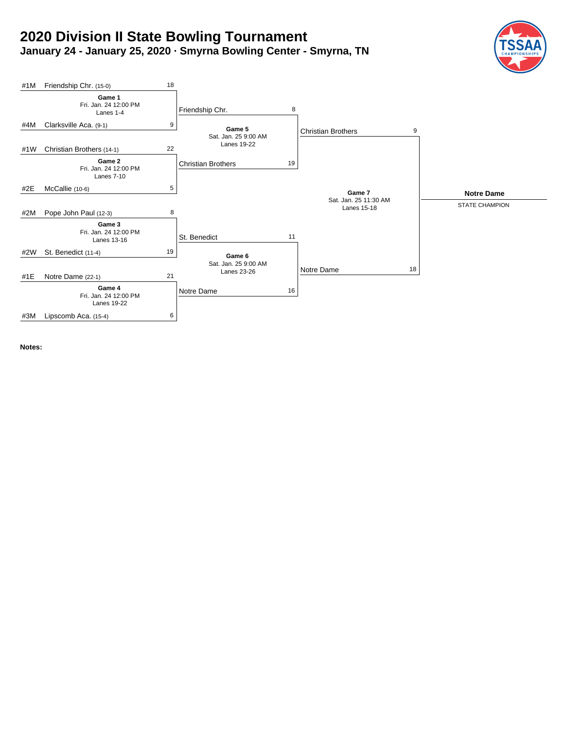# **2020 Division II State Bowling Tournament January 24 - January 25, 2020 · Smyrna Bowling Center - Smyrna, TN**





**Notes:**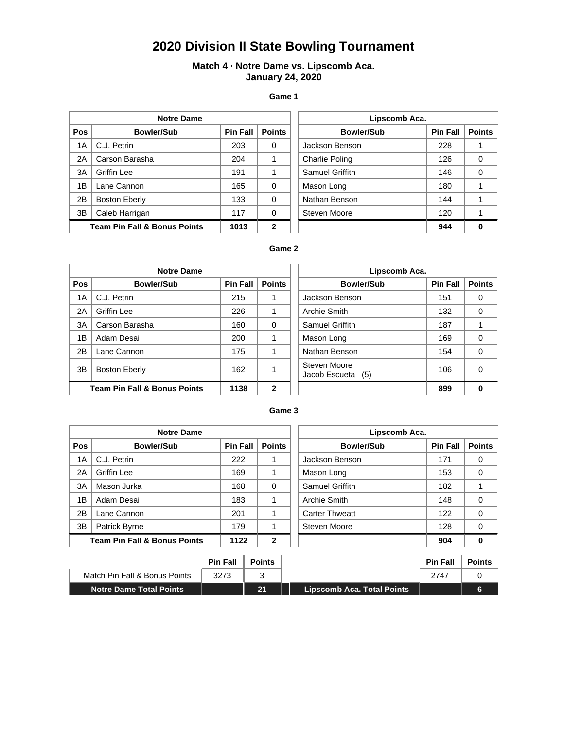# **2020 Division II State Bowling Tournament**

# **Match 4 · Notre Dame vs. Lipscomb Aca. January 24, 2020**

#### **Game 1**

|            | <b>Notre Dame</b>                       |                 |               | Lipscomb Aca.         |                 |               |  |
|------------|-----------------------------------------|-----------------|---------------|-----------------------|-----------------|---------------|--|
| <b>Pos</b> | Bowler/Sub                              | <b>Pin Fall</b> | <b>Points</b> | <b>Bowler/Sub</b>     | <b>Pin Fall</b> | <b>Points</b> |  |
| 1A         | C.J. Petrin                             | 203             | 0             | Jackson Benson        | 228             |               |  |
| 2A         | Carson Barasha                          | 204             |               | <b>Charlie Poling</b> | 126             | 0             |  |
| 3A         | Griffin Lee                             | 191             |               | Samuel Griffith       | 146             | 0             |  |
| 1B         | Lane Cannon                             | 165             | $\Omega$      | Mason Long            | 180             |               |  |
| 2B         | <b>Boston Eberly</b>                    | 133             | $\Omega$      | Nathan Benson         | 144             |               |  |
| 3B         | Caleb Harrigan                          | 117             | $\Omega$      | Steven Moore          | 120             |               |  |
|            | <b>Team Pin Fall &amp; Bonus Points</b> | 1013            | $\mathbf{2}$  |                       | 944             | 0             |  |

| Lipscomb Aca.     |                 |               |  |  |  |  |  |  |
|-------------------|-----------------|---------------|--|--|--|--|--|--|
| <b>Bowler/Sub</b> | <b>Pin Fall</b> | <b>Points</b> |  |  |  |  |  |  |
| Jackson Benson    | 228             |               |  |  |  |  |  |  |
| Charlie Poling    | 126             | O             |  |  |  |  |  |  |
| Samuel Griffith   | 146             | ი             |  |  |  |  |  |  |
| Mason Long        | 180             |               |  |  |  |  |  |  |
| Nathan Benson     | 144             |               |  |  |  |  |  |  |
| Steven Moore      | 120             |               |  |  |  |  |  |  |
|                   | 944             |               |  |  |  |  |  |  |

## **Game 2**

|            | <b>Notre Dame</b>                       |                 |               | Lipscomb Aca.                     |                 |               |  |
|------------|-----------------------------------------|-----------------|---------------|-----------------------------------|-----------------|---------------|--|
| <b>Pos</b> | <b>Bowler/Sub</b>                       | <b>Pin Fall</b> | <b>Points</b> | <b>Bowler/Sub</b>                 | <b>Pin Fall</b> | <b>Points</b> |  |
| 1A         | C.J. Petrin                             | 215             |               | Jackson Benson                    | 151             | 0             |  |
| 2A         | Griffin Lee                             | 226             |               | Archie Smith                      | 132             | 0             |  |
| 3A         | Carson Barasha                          | 160             | $\Omega$      | Samuel Griffith                   | 187             |               |  |
| 1B         | Adam Desai                              | 200             |               | Mason Long                        | 169             | 0             |  |
| 2B         | Lane Cannon                             | 175             |               | Nathan Benson                     | 154             | 0             |  |
| 3B         | <b>Boston Eberly</b>                    | 162             |               | Steven Moore<br>Jacob Escueta (5) | 106             | 0             |  |
|            | <b>Team Pin Fall &amp; Bonus Points</b> | 1138            | $\mathbf{2}$  |                                   | 899             | 0             |  |

| Lipscomb Aca.                     |                 |               |  |  |  |  |
|-----------------------------------|-----------------|---------------|--|--|--|--|
| <b>Bowler/Sub</b>                 | <b>Pin Fall</b> | <b>Points</b> |  |  |  |  |
| Jackson Benson                    | 151             | 0             |  |  |  |  |
| Archie Smith                      | 132             | Ω             |  |  |  |  |
| Samuel Griffith                   | 187             | 1             |  |  |  |  |
| Mason Long                        | 169             | ი             |  |  |  |  |
| Nathan Benson                     | 154             | ი             |  |  |  |  |
| Steven Moore<br>Jacob Escueta (5) | 106             |               |  |  |  |  |
|                                   | 899             |               |  |  |  |  |

#### **Game 3**

| <b>Notre Dame</b> |                                         |                 | Lipscomb Aca. |                       |                 |               |
|-------------------|-----------------------------------------|-----------------|---------------|-----------------------|-----------------|---------------|
| <b>Pos</b>        | <b>Bowler/Sub</b>                       | <b>Pin Fall</b> | <b>Points</b> | <b>Bowler/Sub</b>     | <b>Pin Fall</b> | <b>Points</b> |
| 1A                | C.J. Petrin                             | 222             |               | Jackson Benson        | 171             | 0             |
| 2A                | Griffin Lee                             | 169             |               | Mason Long            | 153             | 0             |
| 3A                | Mason Jurka                             | 168             | $\Omega$      | Samuel Griffith       | 182             |               |
| 1B                | Adam Desai                              | 183             |               | Archie Smith          | 148             | 0             |
| 2B                | Lane Cannon                             | 201             |               | <b>Carter Thweatt</b> | 122             | 0             |
| 3B                | <b>Patrick Byrne</b>                    | 179             |               | Steven Moore          | 128             | 0             |
|                   | <b>Team Pin Fall &amp; Bonus Points</b> | 1122            | 2             |                       | 904             |               |

| Lipscomb Aca.          |                 |               |  |  |  |  |
|------------------------|-----------------|---------------|--|--|--|--|
| <b>Bowler/Sub</b>      | <b>Pin Fall</b> | <b>Points</b> |  |  |  |  |
| Jackson Benson         | 171             | 0             |  |  |  |  |
| Mason Long             | 153             | U             |  |  |  |  |
| <b>Samuel Griffith</b> | 182             |               |  |  |  |  |
| Archie Smith           | 148             | O             |  |  |  |  |
| <b>Carter Thweatt</b>  | 122             | ი             |  |  |  |  |
| Steven Moore           | 128             | U             |  |  |  |  |
|                        | 904             |               |  |  |  |  |

|                                | <b>Pin Fall</b> | <b>Points</b> |                            | <b>Pin Fall</b> | <b>Points</b> |
|--------------------------------|-----------------|---------------|----------------------------|-----------------|---------------|
| Match Pin Fall & Bonus Points  | 3273            |               |                            | 2747            |               |
| <b>Notre Dame Total Points</b> |                 | 21            | Lipscomb Aca. Total Points |                 | 6             |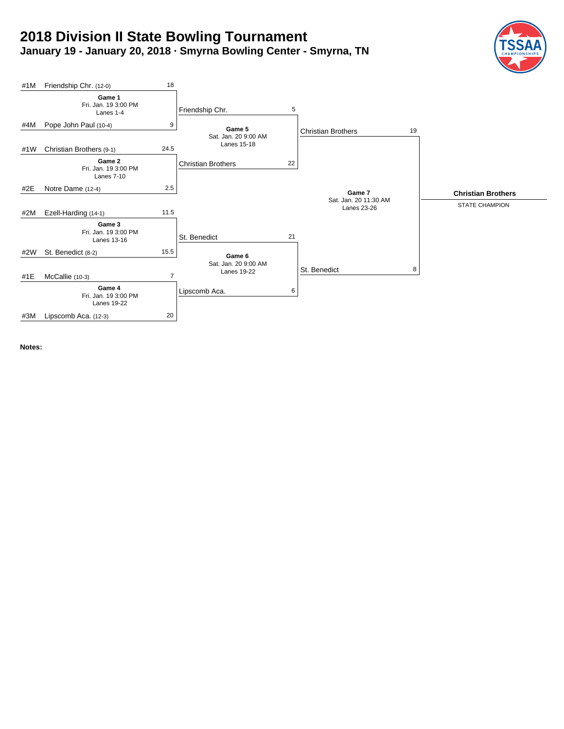# **2018 Division II State Bowling Tournament January 19 - January 20, 2018 · Smyrna Bowling Center - Smyrna, TN**





**Notes:**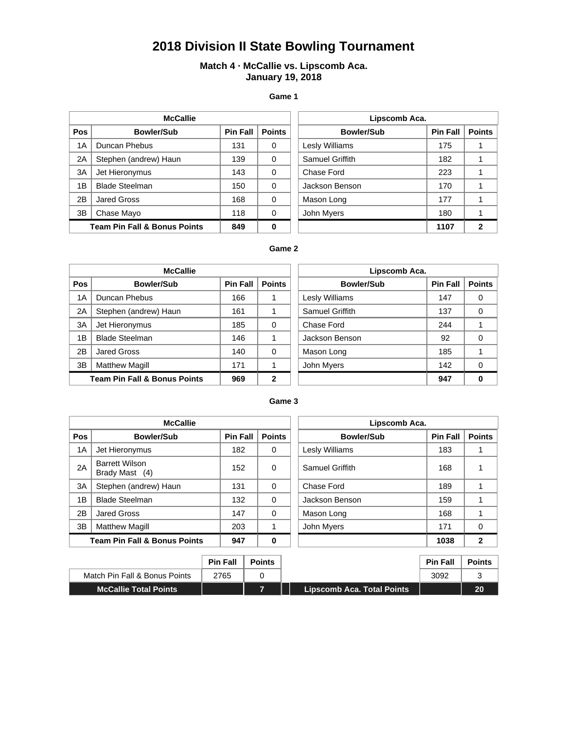# **2018 Division II State Bowling Tournament**

# **Match 4 · McCallie vs. Lipscomb Aca. January 19, 2018**

**Game 1**

| <b>McCallie</b> |                                         |                 | Lipscomb Aca. |  |                       |                 |               |
|-----------------|-----------------------------------------|-----------------|---------------|--|-----------------------|-----------------|---------------|
| Pos             | <b>Bowler/Sub</b>                       | <b>Pin Fall</b> | <b>Points</b> |  | <b>Bowler/Sub</b>     | <b>Pin Fall</b> | <b>Points</b> |
| 1Α              | Duncan Phebus                           | 131             | 0             |  | <b>Lesly Williams</b> | 175             |               |
| 2A              | Stephen (andrew) Haun                   | 139             | $\Omega$      |  | Samuel Griffith       | 182             |               |
| 3A              | Jet Hieronymus                          | 143             | 0             |  | Chase Ford            | 223             |               |
| 1B              | <b>Blade Steelman</b>                   | 150             | 0             |  | Jackson Benson        | 170             |               |
| 2B              | Jared Gross                             | 168             | 0             |  | Mason Long            | 177             |               |
| 3B              | Chase Mayo                              | 118             | $\Omega$      |  | John Myers            | 180             |               |
|                 | <b>Team Pin Fall &amp; Bonus Points</b> | 849             | $\bf{0}$      |  |                       | 1107            | 2             |

| Lipscomb Aca.     |                 |               |  |  |  |  |
|-------------------|-----------------|---------------|--|--|--|--|
| <b>Bowler/Sub</b> | <b>Pin Fall</b> | <b>Points</b> |  |  |  |  |
| Lesly Williams    | 175             |               |  |  |  |  |
| Samuel Griffith   | 182             |               |  |  |  |  |
| Chase Ford        | 223             |               |  |  |  |  |
| Jackson Benson    | 170             |               |  |  |  |  |
| Mason Long        | 177             |               |  |  |  |  |
| John Myers        | 180             |               |  |  |  |  |
|                   | 1107            |               |  |  |  |  |

# **Game 2**

| <b>McCallie</b> |                                         |                 | Lipscomb Aca. |                   |                 |               |
|-----------------|-----------------------------------------|-----------------|---------------|-------------------|-----------------|---------------|
| Pos             | <b>Bowler/Sub</b>                       | <b>Pin Fall</b> | <b>Points</b> | <b>Bowler/Sub</b> | <b>Pin Fall</b> | <b>Points</b> |
| 1A              | Duncan Phebus                           | 166             |               | Lesly Williams    | 147             | 0             |
| 2A              | Stephen (andrew) Haun                   | 161             |               | Samuel Griffith   | 137             | 0             |
| 3A              | Jet Hieronymus                          | 185             | $\Omega$      | Chase Ford        | 244             |               |
| 1B              | <b>Blade Steelman</b>                   | 146             |               | Jackson Benson    | 92              | 0             |
| 2B              | Jared Gross                             | 140             | $\Omega$      | Mason Long        | 185             |               |
| 3B              | <b>Matthew Magill</b>                   | 171             |               | John Myers        | 142             | 0             |
|                 | <b>Team Pin Fall &amp; Bonus Points</b> | 969             | $\mathbf{2}$  |                   | 947             | 0             |

| Lipscomb Aca.         |                 |               |  |  |  |  |
|-----------------------|-----------------|---------------|--|--|--|--|
| <b>Bowler/Sub</b>     | <b>Pin Fall</b> | <b>Points</b> |  |  |  |  |
| <b>Lesly Williams</b> | 147             | 0             |  |  |  |  |
| Samuel Griffith       | 137             | ŋ             |  |  |  |  |
| Chase Ford            | 244             |               |  |  |  |  |
| Jackson Benson        | 92              | ∩             |  |  |  |  |
| Mason Long            | 185             |               |  |  |  |  |
| John Myers            | 142             | ∩             |  |  |  |  |
|                       | 947             |               |  |  |  |  |

#### **Game 3**

| <b>McCallie</b> |                                         |                 | Lipscomb Aca. |                        |                 |               |
|-----------------|-----------------------------------------|-----------------|---------------|------------------------|-----------------|---------------|
| <b>Pos</b>      | <b>Bowler/Sub</b>                       | <b>Pin Fall</b> | <b>Points</b> | <b>Bowler/Sub</b>      | <b>Pin Fall</b> | <b>Points</b> |
| 1A              | Jet Hieronymus                          | 182             | 0             | Lesly Williams         | 183             |               |
| 2A              | <b>Barrett Wilson</b><br>Brady Mast (4) | 152             | $\Omega$      | <b>Samuel Griffith</b> | 168             |               |
| 3A              | Stephen (andrew) Haun                   | 131             | $\Omega$      | Chase Ford             | 189             |               |
| 1B              | <b>Blade Steelman</b>                   | 132             | $\Omega$      | Jackson Benson         | 159             |               |
| 2B              | Jared Gross                             | 147             | $\Omega$      | Mason Long             | 168             |               |
| 3B              | <b>Matthew Magill</b>                   | 203             |               | John Myers             | 171             | 0             |
|                 | <b>Team Pin Fall &amp; Bonus Points</b> | 947             | $\bf{0}$      |                        | 1038            | 2             |

| Lipscomb Aca.     |                 |               |  |  |  |  |
|-------------------|-----------------|---------------|--|--|--|--|
| <b>Bowler/Sub</b> | <b>Pin Fall</b> | <b>Points</b> |  |  |  |  |
| Lesly Williams    | 183             |               |  |  |  |  |
| Samuel Griffith   | 168             |               |  |  |  |  |
| Chase Ford        | 189             |               |  |  |  |  |
| Jackson Benson    | 159             |               |  |  |  |  |
| Mason Long        | 168             |               |  |  |  |  |
| John Myers        | 171             |               |  |  |  |  |
|                   | 1038            |               |  |  |  |  |

|                               | <b>Pin Fall</b> | <b>Points</b> |                            | <b>Pin Fall</b> | <b>Points</b> |
|-------------------------------|-----------------|---------------|----------------------------|-----------------|---------------|
| Match Pin Fall & Bonus Points | 2765            |               |                            | 3092            |               |
| <b>McCallie Total Points</b>  |                 |               | Lipscomb Aca. Total Points |                 | 20            |